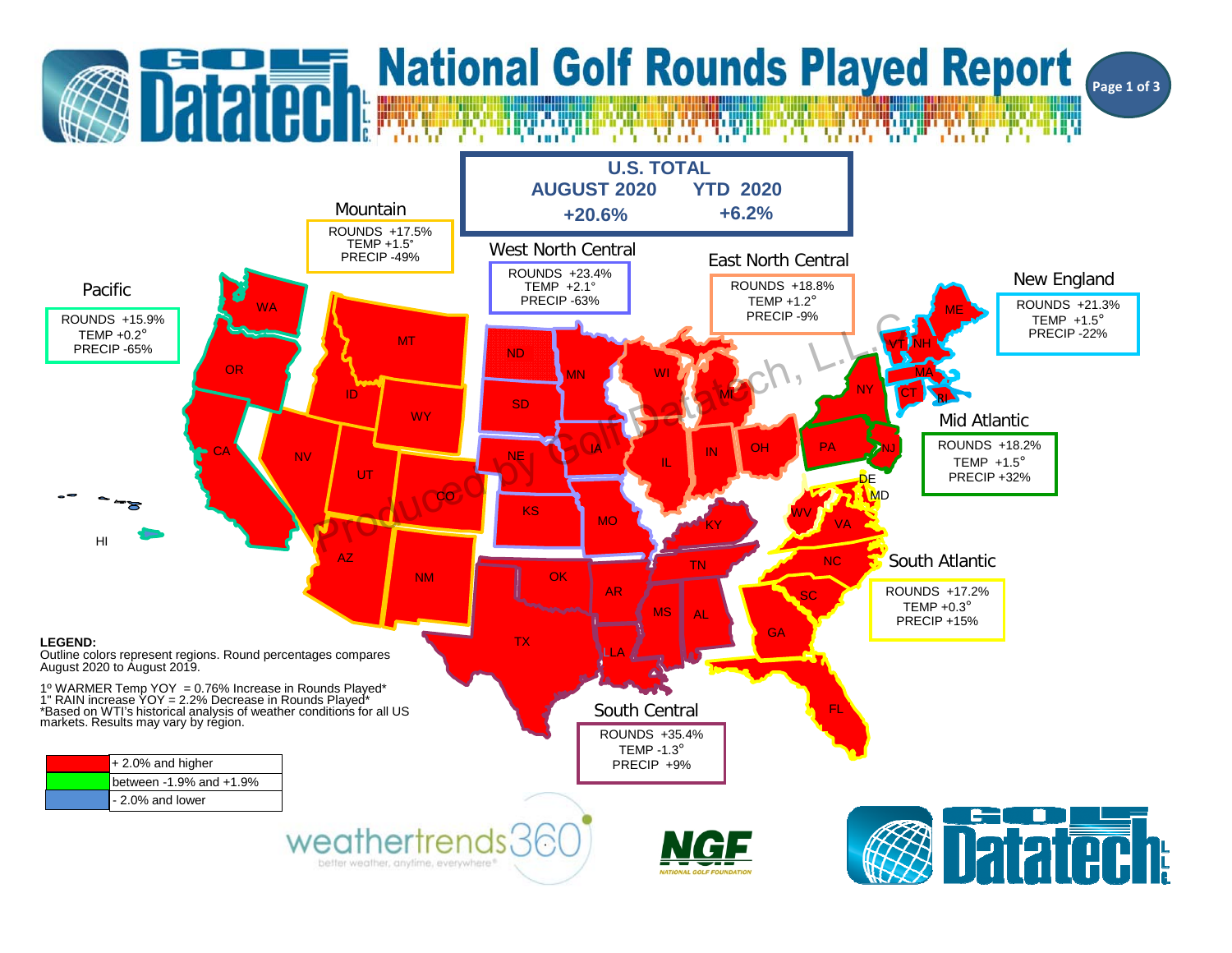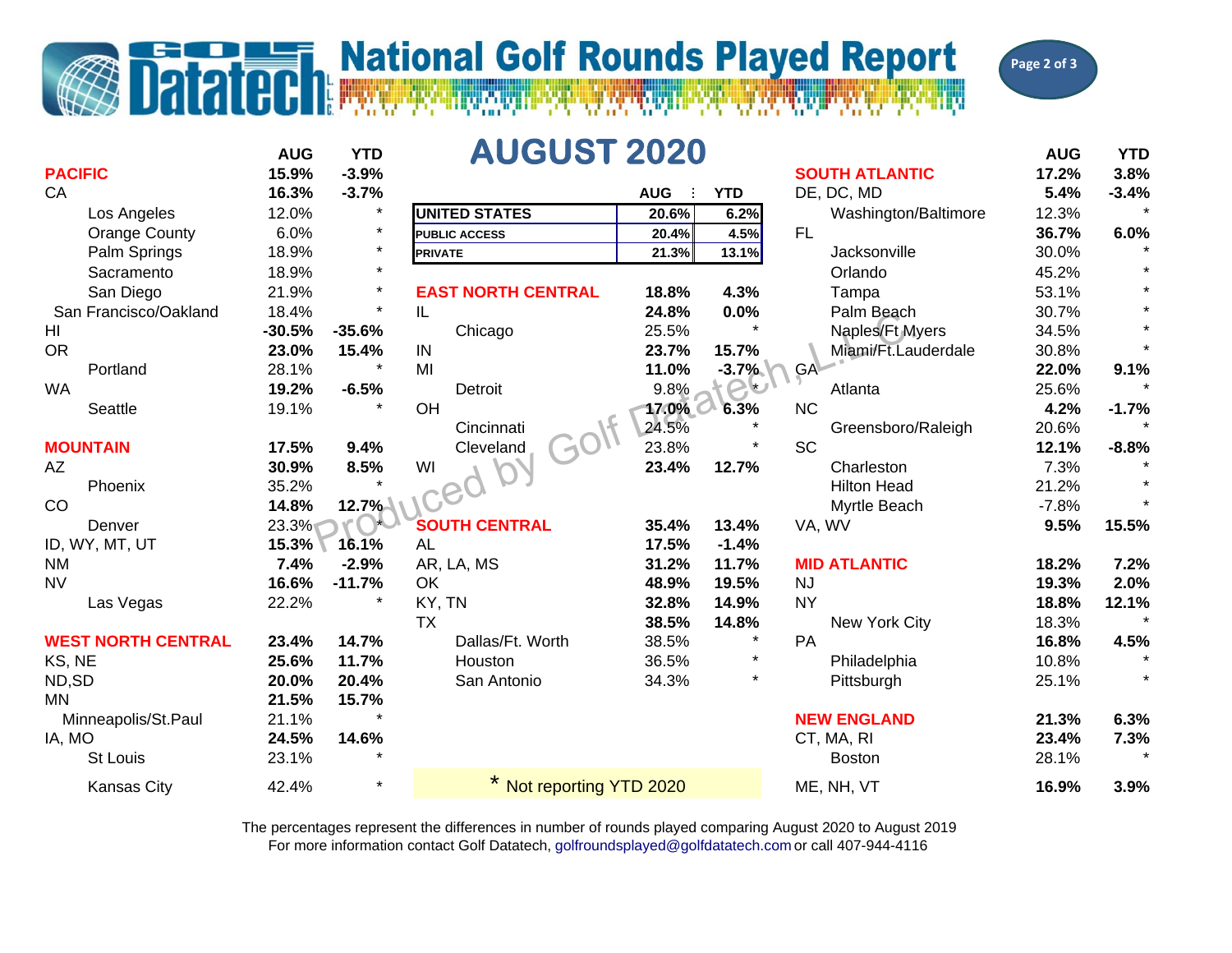## **T. National Golf Rounds Played Report**

Dalaidh



|                           | <b>AUG</b> | <b>YTD</b> | <b>AUGUST 2020</b>        |            |            |                       | <b>AUG</b> | <b>YTD</b> |
|---------------------------|------------|------------|---------------------------|------------|------------|-----------------------|------------|------------|
| <b>PACIFIC</b>            | 15.9%      | $-3.9%$    |                           |            |            | <b>SOUTH ATLANTIC</b> | 17.2%      | 3.8%       |
| CA                        | 16.3%      | $-3.7%$    |                           | <b>AUG</b> | <b>YTD</b> | DE, DC, MD            | 5.4%       | $-3.4%$    |
| Los Angeles               | 12.0%      | $\star$    | <b>UNITED STATES</b>      | 20.6%      | 6.2%       | Washington/Baltimore  | 12.3%      |            |
| <b>Orange County</b>      | 6.0%       | $\star$    | <b>PUBLIC ACCESS</b>      | 20.4%      | 4.5%       | FL.                   | 36.7%      | 6.0%       |
| Palm Springs              | 18.9%      | $\star$    | <b>PRIVATE</b>            | 21.3%      | 13.1%      | Jacksonville          | 30.0%      |            |
| Sacramento                | 18.9%      | $\star$    |                           |            |            | Orlando               | 45.2%      |            |
| San Diego                 | 21.9%      | $\star$    | <b>EAST NORTH CENTRAL</b> | 18.8%      | 4.3%       | Tampa                 | 53.1%      |            |
| San Francisco/Oakland     | 18.4%      | $\star$    | IL                        | 24.8%      | 0.0%       | Palm Beach            | 30.7%      |            |
| HI                        | $-30.5%$   | $-35.6%$   | Chicago                   | 25.5%      |            | Naples/Ft Myers       | 34.5%      |            |
| <b>OR</b>                 | 23.0%      | 15.4%      | IN                        | 23.7%      | 15.7%      | Miami/Ft.Lauderdale   | 30.8%      |            |
| Portland                  | 28.1%      | $\star$    | MI                        | 11.0%      | $-3.7%$    | GA-                   | 22.0%      | 9.1%       |
| <b>WA</b>                 | 19.2%      | $-6.5%$    | Detroit                   | 9.8%       |            | Atlanta               | 25.6%      |            |
| Seattle                   | 19.1%      |            | OH                        | 17.0%      | 6.3%       | <b>NC</b>             | 4.2%       | $-1.7%$    |
|                           |            |            | Cincinnati                | 24.5%      |            | Greensboro/Raleigh    | 20.6%      |            |
| <b>MOUNTAIN</b>           | 17.5%      | 9.4%       | Cleveland                 | 23.8%      |            | <b>SC</b>             | 12.1%      | $-8.8%$    |
| AZ                        | 30.9%      | 8.5%       | WI                        | 23.4%      | 12.7%      | Charleston            | 7.3%       |            |
| Phoenix                   | 35.2%      |            |                           |            |            | <b>Hilton Head</b>    | 21.2%      |            |
| CO                        | 14.8%      | 12.7%      |                           |            |            | Myrtle Beach          | $-7.8%$    |            |
| Denver                    | 23.3%      |            | <b>SOUTH CENTRAL</b>      | 35.4%      | 13.4%      | VA, WV                | 9.5%       | 15.5%      |
| ID, WY, MT, UT            | 15.3%      | 16.1%      | <b>AL</b>                 | 17.5%      | $-1.4%$    |                       |            |            |
| <b>NM</b>                 | 7.4%       | $-2.9%$    | AR, LA, MS                | 31.2%      | 11.7%      | <b>MID ATLANTIC</b>   | 18.2%      | 7.2%       |
| <b>NV</b>                 | 16.6%      | $-11.7%$   | OK                        | 48.9%      | 19.5%      | <b>NJ</b>             | 19.3%      | 2.0%       |
| Las Vegas                 | 22.2%      |            | KY, TN                    | 32.8%      | 14.9%      | <b>NY</b>             | 18.8%      | 12.1%      |
|                           |            |            | <b>TX</b>                 | 38.5%      | 14.8%      | New York City         | 18.3%      |            |
| <b>WEST NORTH CENTRAL</b> | 23.4%      | 14.7%      | Dallas/Ft. Worth          | 38.5%      |            | PA                    | 16.8%      | 4.5%       |
| KS, NE                    | 25.6%      | 11.7%      | Houston                   | 36.5%      | $\star$    | Philadelphia          | 10.8%      |            |
| ND,SD                     | 20.0%      | 20.4%      | San Antonio               | 34.3%      | $\star$    | Pittsburgh            | 25.1%      |            |
| <b>MN</b>                 | 21.5%      | 15.7%      |                           |            |            |                       |            |            |
| Minneapolis/St.Paul       | 21.1%      |            |                           |            |            | <b>NEW ENGLAND</b>    | 21.3%      | 6.3%       |
| IA, MO                    | 24.5%      | 14.6%      |                           |            |            | CT, MA, RI            | 23.4%      | 7.3%       |
| <b>St Louis</b>           | 23.1%      |            |                           |            |            | <b>Boston</b>         | 28.1%      |            |
| <b>Kansas City</b>        | 42.4%      | $\star$    | Not reporting YTD 2020    |            |            | ME, NH, VT            | 16.9%      | 3.9%       |

For more information contact Golf Datatech, golfroundsplayed@golfdatatech.com or call 407-944-4116 The percentages represent the differences in number of rounds played comparing August 2020 to August 2019